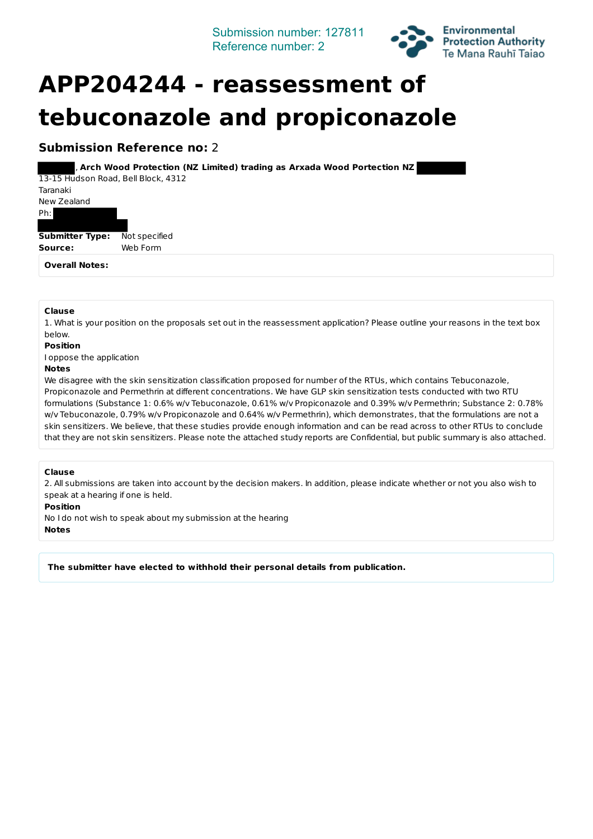Submission number: 127811 Reference number: 2



# **APP204244 - reassessment of tebuconazole and propiconazole**

### **Submission Reference no: 2**

, Arch Wood Protection (NZ Limited) trading as Arxada Wood Portection NZ 13-15 Hudson Road, Bell Block, 4312

Taranaki New Zealand Ph: **Submitter Type:** Not specified Source: Web Form

**Overall Notes:**

#### **Clause**

1. What is your position on the proposals set out in the reassessment application? Please outline your reasons in the text box below.

**Position**

I oppose the application

#### **Notes**

We disagree with the skin sensitization classification proposed for number of the RTUs, which contains Tebuconazole, Propiconazole and Permethrin at different concentrations. We have GLP skin sensitization tests conducted with two RTU formulations (Substance 1: 0.6% w/v Tebuconazole, 0.61% w/v Propiconazole and 0.39% w/v Permethrin; Substance 2: 0.78% w/v Tebuconazole, 0.79% w/v Propiconazole and 0.64% w/v Permethrin), which demonstrates, that the formulations are not a skin sensitizers. We believe, that these studies provide enough information and can be read across to other RTUs to conclude that they are not skin sensitizers. Please note the attached study reports are Confidential, but public summary is also attached.

#### **Clause**

2. All submissions are taken into account by the decision makers. In addition, please indicate whether or not you also wish to speak at a hearing if one is held.

**Position**

No I do not wish to speak about my submission at the hearing **Notes**

The submitter have elected to withhold their personal details from publication.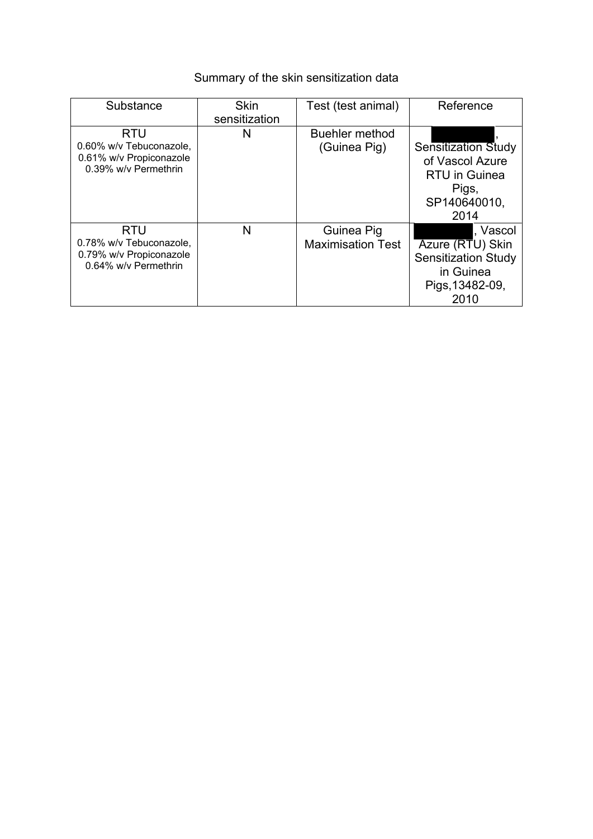## Summary of the skin sensitization data

| Substance                                                                                | <b>Skin</b>   | Test (test animal)                     | Reference                                                                                              |
|------------------------------------------------------------------------------------------|---------------|----------------------------------------|--------------------------------------------------------------------------------------------------------|
|                                                                                          | sensitization |                                        |                                                                                                        |
| <b>RTU</b><br>0.60% w/v Tebuconazole,<br>0.61% w/v Propiconazole<br>0.39% w/v Permethrin | N             | <b>Buehler method</b><br>(Guinea Pig)  | <b>Sensitization Study</b><br>of Vascol Azure<br><b>RTU</b> in Guinea<br>Pigs,<br>SP140640010,<br>2014 |
| <b>RTU</b><br>0.78% w/v Tebuconazole,<br>0.79% w/v Propiconazole<br>0.64% w/v Permethrin | N             | Guinea Pig<br><b>Maximisation Test</b> | , Vascol<br>Azure (RTU) Skin<br><b>Sensitization Study</b><br>in Guinea<br>Pigs, 13482-09,<br>2010     |